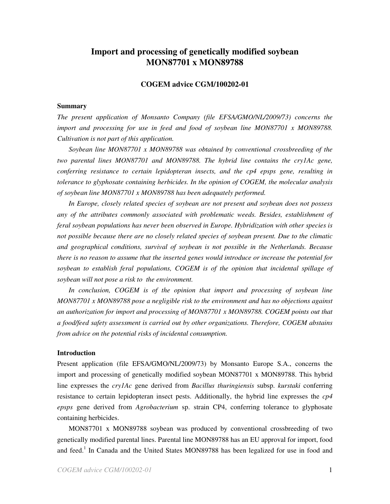# **Import and processing of genetically modified soybean MON87701 x MON89788**

# **COGEM advice CGM/100202-01**

### **Summary**

*The present application of Monsanto Company (file EFSA/GMO/NL/2009/73) concerns the import and processing for use in feed and food of soybean line MON87701 x MON89788. Cultivation is not part of this application.*

*Soybean line MON87701 x MON89788 was obtained by conventional crossbreeding of the two parental lines MON87701 and MON89788. The hybrid line contains the cry1Ac gene, conferring resistance to certain lepidopteran insects, and the cp4 epsps gene, resulting in tolerance to glyphosate containing herbicides. In the opinion of COGEM, the molecular analysis of soybean line MON87701 x MON89788 has been adequately performed.*

*In Europe, closely related species of soybean are not present and soybean does not possess any of the attributes commonly associated with problematic weeds. Besides, establishment of feral soybean populations has never been observed in Europe. Hybridization with other species is not possible because there are no closely related species of soybean present. Due to the climatic and geographical conditions, survival of soybean is not possible in the Netherlands. Because there is no reason to assume that the inserted genes would introduce or increase the potential for soybean to establish feral populations, COGEM is of the opinion that incidental spillage of soybean will not pose a risk to the environment.*

*In conclusion, COGEM is of the opinion that import and processing of soybean line MON87701 x MON89788 pose a negligible risk to the environment and has no objections against an authorization for import and processing of MON87701 x MON89788. COGEM points out that a food/feed safety assessment is carried out by other organizations. Therefore, COGEM abstains from advice on the potential risks of incidental consumption.*

### **Introduction**

Present application (file EFSA/GMO/NL/2009/73) by Monsanto Europe S.A., concerns the import and processing of genetically modified soybean MON87701 x MON89788. This hybrid line expresses the *cry1Ac* gene derived from *Bacillus thuringiensis* subsp. *kurstaki* conferring resistance to certain lepidopteran insect pests. Additionally, the hybrid line expresses the *cp4 epsps* gene derived from *Agrobacterium* sp. strain CP4, conferring tolerance to glyphosate containing herbicides.

MON87701 x MON89788 soybean was produced by conventional crossbreeding of two genetically modified parental lines. Parental line MON89788 has an EU approval for import, food and feed.<sup>1</sup> In Canada and the United States MON89788 has been legalized for use in food and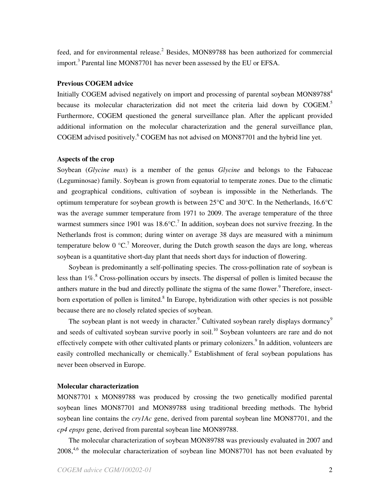feed, and for environmental release.<sup>2</sup> Besides, MON89788 has been authorized for commercial import.<sup>3</sup> Parental line MON87701 has never been assessed by the EU or EFSA.

# **Previous COGEM advice**

Initially COGEM advised negatively on import and processing of parental soybean MON89788 4 because its molecular characterization did not meet the criteria laid down by COGEM.<sup>5</sup> Furthermore, COGEM questioned the general surveillance plan. After the applicant provided additional information on the molecular characterization and the general surveillance plan, COGEM advised positively. <sup>6</sup> COGEM has not advised on MON87701 and the hybrid line yet.

## **Aspects of the crop**

Soybean (*Glycine max*) is a member of the genus *Glycine* and belongs to the Fabaceae (Leguminosae) family. Soybean is grown from equatorial to temperate zones. Due to the climatic and geographical conditions, cultivation of soybean is impossible in the Netherlands. The optimum temperature for soybean growth is between 25°C and 30°C. In the Netherlands, 16.6°C was the average summer temperature from 1971 to 2009. The average temperature of the three warmest summers since 1901 was  $18.6^{\circ}$ C.<sup>7</sup> In addition, soybean does not survive freezing. In the Netherlands frost is common; during winter on average 38 days are measured with a minimum temperature below 0  $\mathrm{°C}$ .<sup>7</sup> Moreover, during the Dutch growth season the days are long, whereas soybean is a quantitative short-day plant that needs short days for induction of flowering.

Soybean is predominantly a self-pollinating species. The cross-pollination rate of soybean is less than 1%.<sup>8</sup> Cross-pollination occurs by insects. The dispersal of pollen is limited because the anthers mature in the bud and directly pollinate the stigma of the same flower.<sup>9</sup> Therefore, insectborn exportation of pollen is limited.<sup>8</sup> In Europe, hybridization with other species is not possible because there are no closely related species of soybean.

The soybean plant is not weedy in character.<sup>9</sup> Cultivated soybean rarely displays dormancy<sup>9</sup> and seeds of cultivated soybean survive poorly in soil.<sup>10</sup> Soybean volunteers are rare and do not effectively compete with other cultivated plants or primary colonizers.<sup>9</sup> In addition, volunteers are easily controlled mechanically or chemically.<sup>9</sup> Establishment of feral soybean populations has never been observed in Europe.

## **Molecular characterization**

MON87701 x MON89788 was produced by crossing the two genetically modified parental soybean lines MON87701 and MON89788 using traditional breeding methods. The hybrid soybean line contains the *cry1Ac* gene, derived from parental soybean line MON87701, and the *cp4 epsps* gene, derived from parental soybean line MON89788.

The molecular characterization of soybean MON89788 was previously evaluated in 2007 and 2008,<sup>4,6</sup> the molecular characterization of soybean line MON87701 has not been evaluated by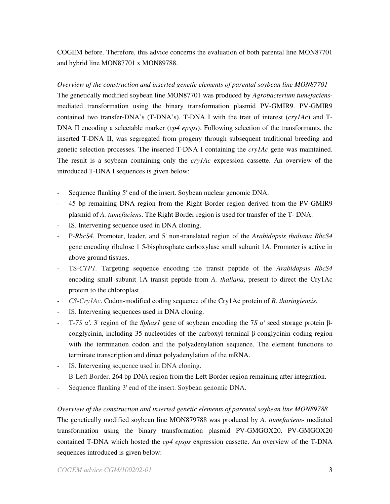COGEM before. Therefore, this advice concerns the evaluation of both parental line MON87701 and hybrid line MON87701 x MON89788.

*Overview of the construction and inserted genetic elements of parental soybean line MON87701* The genetically modified soybean line MON87701 was produced by *Agrobacterium tumefaciens*mediated transformation using the binary transformation plasmid PV-GMIR9. PV-GMIR9 contained two transfer-DNA's (T-DNA's), T-DNA I with the trait of interest (*cry1Ac*) and T-DNA II encoding a selectable marker (*cp4 epsps*). Following selection of the transformants, the inserted T-DNA II, was segregated from progeny through subsequent traditional breeding and genetic selection processes. The inserted T-DNA I containing the *cry1Ac* gene was maintained. The result is a soybean containing only the *cry1Ac* expression cassette. An overview of the introduced T-DNA I sequences is given below:

- Sequence flanking 5' end of the insert. Soybean nuclear genomic DNA.
- 45 bp remaining DNA region from the Right Border region derived from the PV-GMIR9 plasmid of *A. tumefaciens*. The Right Border region is used for transfer of the T- DNA.
- IS. Intervening sequence used in DNA cloning.
- P*-RbcS4*. Promoter, leader, and 5'non-translated region of the *Arabidopsis thaliana RbcS4* gene encoding ribulose 1 5-bisphosphate carboxylase small subunit 1A. Promoter is active in above ground tissues.
- TS-*CTP1.* Targeting sequence encoding the transit peptide of the *Arabidopsis RbcS4* encoding small subunit 1A transit peptide from *A. thaliana*, present to direct the Cry1Ac protein to the chloroplast.
- *CS-Cry1Ac*. Codon-modified coding sequence of the Cry1Ac protein of *B. thuringiensis.*
- IS. Intervening sequences used in DNA cloning.
- T-7S  $\alpha'$ . 3' region of the *Sphas1* gene of soybean encoding the 7S  $\alpha'$  seed storage protein  $\beta$ conglycinin, including 35 nucleotides of the carboxyl terminal  $\beta$ -conglycinin coding region with the termination codon and the polyadenylation sequence. The element functions to terminate transcription and direct polyadenylation of the mRNA.
- IS. Intervening sequence used in DNA cloning.
- B-Left Border. 264 bp DNA region from the Left Border region remaining after integration.
- Sequence flanking 3'end of the insert. Soybean genomic DNA.

*Overview of the construction and inserted genetic elements of parental soybean line MON89788* The genetically modified soybean line MON879788 was produced by *A. tumefaciens*- mediated transformation using the binary transformation plasmid PV-GMGOX20. PV-GMGOX20 contained T-DNA which hosted the *cp4 epsps* expression cassette. An overview of the T-DNA sequences introduced is given below: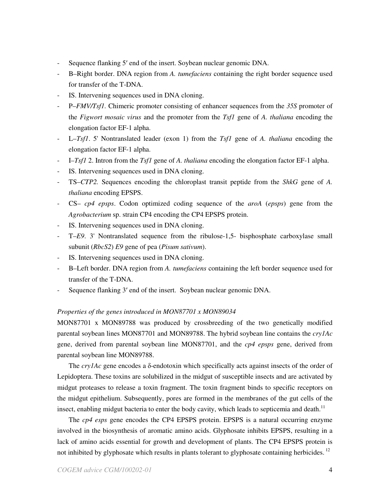- Sequence flanking 5' end of the insert. Soybean nuclear genomic DNA.
- B–Right border. DNA region from *A. tumefaciens* containing the right border sequence used for transfer of the T-DNA.
- IS. Intervening sequences used in DNA cloning.
- P–*FMV/Tsf1.* Chimeric promoter consisting of enhancer sequences from the *35S* promoter of the *Figwort mosaic virus* and the promoter from the *Tsf1* gene of *A. thaliana* encoding the elongation factor EF-1 alpha.
- L–*Tsf1*. 5'Nontranslated leader (exon 1) from the *Tsf1* gene of *A. thaliana* encoding the elongation factor EF-1 alpha.
- I–*Tsf1* 2. Intron from the *Tsf1* gene of *A. thaliana* encoding the elongation factor EF-1 alpha.
- IS. Intervening sequences used in DNA cloning.
- TS–*CTP2.* Sequences encoding the chloroplast transit peptide from the *ShkG* gene of *A. thaliana* encoding EPSPS.
- CS– *cp4 epsps*. Codon optimized coding sequence of the *aroA* (*epsps*) gene from the *Agrobacterium* sp. strain CP4 encoding the CP4 EPSPS protein.
- IS. Intervening sequences used in DNA cloning.
- T–*E9*. 3'Nontranslated sequence from the ribulose-1,5- bisphosphate carboxylase small subunit (*RbcS2*) *E9* gene of pea (*Pisum sativum*).
- IS. Intervening sequences used in DNA cloning.
- B–Left border. DNA region from *A. tumefaciens* containing the left border sequence used for transfer of the T-DNA.
- Sequence flanking 3' end of the insert. Soybean nuclear genomic DNA.

# *Properties of the genes introduced in MON87701 x MON89034*

MON87701 x MON89788 was produced by crossbreeding of the two genetically modified parental soybean lines MON87701 and MON89788. The hybrid soybean line contains the *cry1Ac* gene, derived from parental soybean line MON87701, and the *cp4 epsps* gene, derived from parental soybean line MON89788.

The  $cryIAc$  gene encodes a  $\delta$ -endotoxin which specifically acts against insects of the order of Lepidoptera. These toxins are solubilized in the midgut of susceptible insects and are activated by midgut proteases to release a toxin fragment. The toxin fragment binds to specific receptors on the midgut epithelium. Subsequently, pores are formed in the membranes of the gut cells of the insect, enabling midgut bacteria to enter the body cavity, which leads to septicemia and death.<sup>11</sup>

The *cp4 esps* gene encodes the CP4 EPSPS protein. EPSPS is a natural occurring enzyme involved in the biosynthesis of aromatic amino acids. Glyphosate inhibits EPSPS, resulting in a lack of amino acids essential for growth and development of plants. The CP4 EPSPS protein is not inhibited by glyphosate which results in plants tolerant to glyphosate containing herbicides.<sup>12</sup>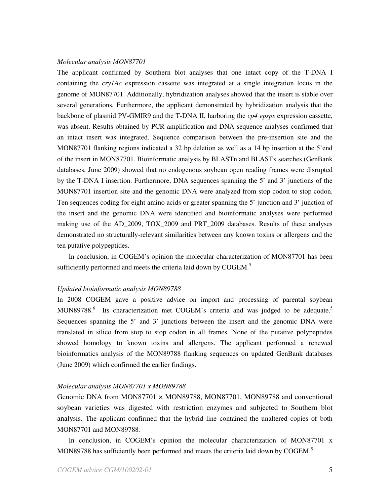#### *Molecular analysis MON87701*

The applicant confirmed by Southern blot analyses that one intact copy of the T-DNA I containing the *cry1Ac* expression cassette was integrated at a single integration locus in the genome of MON87701. Additionally, hybridization analyses showed that the insert is stable over several generations*.* Furthermore, the applicant demonstrated by hybridization analysis that the backbone of plasmid PV-GMIR9 and the T-DNA II, harboring the *cp4 epsps* expression cassette, was absent. Results obtained by PCR amplification and DNA sequence analyses confirmed that an intact insert was integrated. Sequence comparison between the pre-insertion site and the MON87701 flanking regions indicated a 32 bp deletion as well as a 14 bp insertion at the 5'end of the insert in MON87701. Bioinformatic analysis by BLASTn and BLASTx searches (GenBank databases, June 2009) showed that no endogenous soybean open reading frames were disrupted by the T-DNA I insertion. Furthermore, DNA sequences spanning the 5' and 3' junctions of the MON87701 insertion site and the genomic DNA were analyzed from stop codon to stop codon. Ten sequences coding for eight amino acids or greater spanning the 5' junction and 3' junction of the insert and the genomic DNA were identified and bioinformatic analyses were performed making use of the AD\_2009, TOX\_2009 and PRT\_2009 databases. Results of these analyses demonstrated no structurally-relevant similarities between any known toxins or allergens and the ten putative polypeptides.

In conclusion, in COGEM's opinion the molecular characterization of MON87701 has been sufficiently performed and meets the criteria laid down by COGEM.<sup>5</sup>

### *Updated bioinformatic analysis MON89788*

In 2008 COGEM gave a positive advice on import and processing of parental soybean MON89788.<sup>6</sup> Its characterization met COGEM's criteria and was judged to be adequate.<sup>5</sup> Sequences spanning the 5' and 3' junctions between the insert and the genomic DNA were translated in silico from stop to stop codon in all frames. None of the putative polypeptides showed homology to known toxins and allergens. The applicant performed a renewed bioinformatics analysis of the MON89788 flanking sequences on updated GenBank databases (June 2009) which confirmed the earlier findings.

### *Molecular analysis MON87701 x MON89788*

Genomic DNA from MON87701 × MON89788, MON87701, MON89788 and conventional soybean varieties was digested with restriction enzymes and subjected to Southern blot analysis. The applicant confirmed that the hybrid line contained the unaltered copies of both MON87701 and MON89788*.*

In conclusion, in COGEM's opinion the molecular characterization of MON87701 x MON89788 has sufficiently been performed and meets the criteria laid down by COGEM.<sup>5</sup>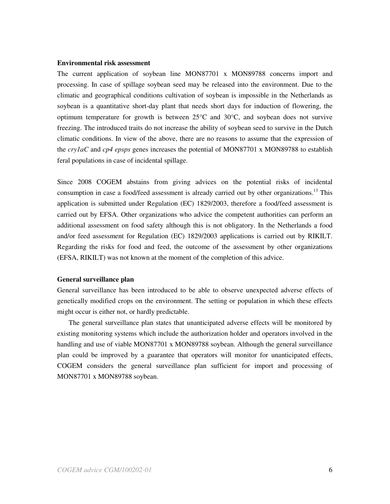# **Environmental risk assessment**

The current application of soybean line MON87701 x MON89788 concerns import and processing. In case of spillage soybean seed may be released into the environment. Due to the climatic and geographical conditions cultivation of soybean is impossible in the Netherlands as soybean is a quantitative short-day plant that needs short days for induction of flowering, the optimum temperature for growth is between  $25^{\circ}$ C and  $30^{\circ}$ C, and soybean does not survive freezing. The introduced traits do not increase the ability of soybean seed to survive in the Dutch climatic conditions. In view of the above, there are no reasons to assume that the expression of the *cry1aC* and *cp4 epsps* genes increases the potential of MON87701 x MON89788 to establish feral populations in case of incidental spillage.

Since 2008 COGEM abstains from giving advices on the potential risks of incidental consumption in case a food/feed assessment is already carried out by other organizations.<sup>13</sup> This application is submitted under Regulation (EC) 1829/2003, therefore a food/feed assessment is carried out by EFSA. Other organizations who advice the competent authorities can perform an additional assessment on food safety although this is not obligatory. In the Netherlands a food and/or feed assessment for Regulation (EC) 1829/2003 applications is carried out by RIKILT. Regarding the risks for food and feed, the outcome of the assessment by other organizations (EFSA, RIKILT) was not known at the moment of the completion of this advice.

### **General surveillance plan**

General surveillance has been introduced to be able to observe unexpected adverse effects of genetically modified crops on the environment. The setting or population in which these effects might occur is either not, or hardly predictable.

The general surveillance plan states that unanticipated adverse effects will be monitored by existing monitoring systems which include the authorization holder and operators involved in the handling and use of viable MON87701 x MON89788 soybean. Although the general surveillance plan could be improved by a guarantee that operators will monitor for unanticipated effects, COGEM considers the general surveillance plan sufficient for import and processing of MON87701 x MON89788 soybean.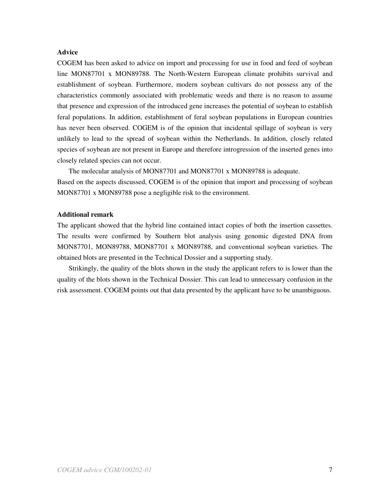# **Advice**

COGEM has been asked to advice on import and processing for use in food and feed of soybean line MON87701 x MON89788. The North-Western European climate prohibits survival and establishment of soybean. Furthermore, modern soybean cultivars do not possess any of the characteristics commonly associated with problematic weeds and there is no reason to assume that presence and expression of the introduced gene increases the potential of soybean to establish feral populations. In addition, establishment of feral soybean populations in European countries has never been observed. COGEM is of the opinion that incidental spillage of soybean is very unlikely to lead to the spread of soybean within the Netherlands. In addition, closely related species of soybean are not present in Europe and therefore introgression of the inserted genes into closely related species can not occur.

The molecular analysis of MON87701 and MON87701 x MON89788 is adequate.

Based on the aspects discussed, COGEM is of the opinion that import and processing of soybean MON87701 x MON89788 pose a negligible risk to the environment.

# **Additional remark**

The applicant showed that the hybrid line contained intact copies of both the insertion cassettes. The results were confirmed by Southern blot analysis using genomic digested DNA from MON87701, MON89788, MON87701 x MON89788, and conventional soybean varieties. The obtained blots are presented in the Technical Dossier and a supporting study.

Strikingly, the quality of the blots shown in the study the applicant refers to is lower than the quality of the blots shown in the Technical Dossier. This can lead to unnecessary confusion in the risk assessment. COGEM points out that data presented by the applicant have to be unambiguous.